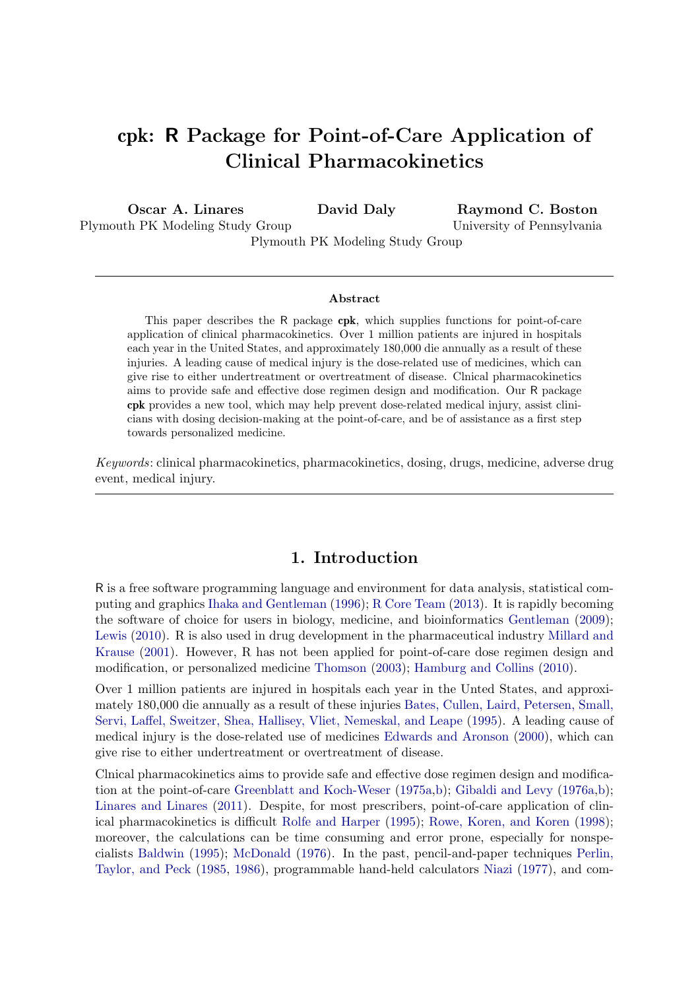# cpk: R Package for Point-of-Care Application of Clinical Pharmacokinetics

Oscar A. Linares Plymouth PK Modeling Study Group David Daly Plymouth PK Modeling Study Group Raymond C. Boston University of Pennsylvania

#### Abstract

This paper describes the R package cpk, which supplies functions for point-of-care application of clinical pharmacokinetics. Over 1 million patients are injured in hospitals each year in the United States, and approximately 180,000 die annually as a result of these injuries. A leading cause of medical injury is the dose-related use of medicines, which can give rise to either undertreatment or overtreatment of disease. Clnical pharmacokinetics aims to provide safe and effective dose regimen design and modification. Our R package cpk provides a new tool, which may help prevent dose-related medical injury, assist clinicians with dosing decision-making at the point-of-care, and be of assistance as a first step towards personalized medicine.

Keywords: clinical pharmacokinetics, pharmacokinetics, dosing, drugs, medicine, adverse drug event, medical injury.

## 1. Introduction

R is a free software programming language and environment for data analysis, statistical computing and graphics [Ihaka and Gentleman](#page-16-0) [\(1996\)](#page-16-0); [R Core Team](#page-17-0) [\(2013\)](#page-17-0). It is rapidly becoming the software of choice for users in biology, medicine, and bioinformatics [Gentleman](#page-16-1) [\(2009\)](#page-16-1); [Lewis](#page-16-2) [\(2010\)](#page-16-2). R is also used in drug development in the pharmaceutical industry [Millard and](#page-17-1) [Krause](#page-17-1) [\(2001\)](#page-17-1). However, R has not been applied for point-of-care dose regimen design and modification, or personalized medicine [Thomson](#page-17-2) [\(2003\)](#page-17-2); [Hamburg and Collins](#page-16-3) [\(2010\)](#page-16-3).

Over 1 million patients are injured in hospitals each year in the Unted States, and approximately 180,000 die annually as a result of these injuries [Bates, Cullen, Laird, Petersen, Small,](#page-15-0) [Servi, Laffel, Sweitzer, Shea, Hallisey, Vliet, Nemeskal, and Leape](#page-15-0) [\(1995\)](#page-15-0). A leading cause of medical injury is the dose-related use of medicines [Edwards and Aronson](#page-16-4) [\(2000\)](#page-16-4), which can give rise to either undertreatment or overtreatment of disease.

Clnical pharmacokinetics aims to provide safe and effective dose regimen design and modification at the point-of-care [Greenblatt and Koch-Weser](#page-16-5) [\(1975a,](#page-16-5)[b\)](#page-16-6); [Gibaldi and Levy](#page-16-7) [\(1976a,](#page-16-7)[b\)](#page-16-8); [Linares and Linares](#page-17-3) [\(2011\)](#page-17-3). Despite, for most prescribers, point-of-care application of clinical pharmacokinetics is difficult [Rolfe and Harper](#page-17-4) [\(1995\)](#page-17-4); [Rowe, Koren, and Koren](#page-17-5) [\(1998\)](#page-17-5); moreover, the calculations can be time consuming and error prone, especially for nonspecialists [Baldwin](#page-15-1) [\(1995\)](#page-15-1); [McDonald](#page-17-6) [\(1976\)](#page-17-6). In the past, pencil-and-paper techniques [Perlin,](#page-17-7) [Taylor, and Peck](#page-17-7) [\(1985,](#page-17-7) [1986\)](#page-17-8), programmable hand-held calculators [Niazi](#page-17-9) [\(1977\)](#page-17-9), and com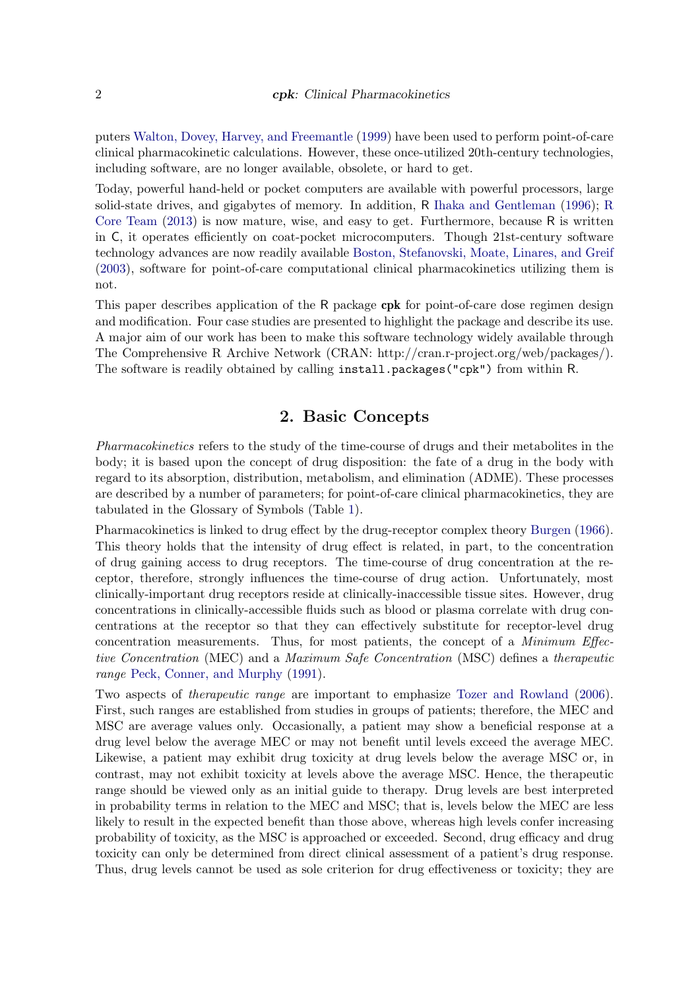puters [Walton, Dovey, Harvey, and Freemantle](#page-17-10) [\(1999\)](#page-17-10) have been used to perform point-of-care clinical pharmacokinetic calculations. However, these once-utilized 20th-century technologies, including software, are no longer available, obsolete, or hard to get.

Today, powerful hand-held or pocket computers are available with powerful processors, large solid-state drives, and gigabytes of memory. In addition, R [Ihaka and Gentleman](#page-16-0) [\(1996\)](#page-16-0); [R](#page-17-0) [Core Team](#page-17-0) [\(2013\)](#page-17-0) is now mature, wise, and easy to get. Furthermore, because R is written in C, it operates efficiently on coat-pocket microcomputers. Though 21st-century software technology advances are now readily available [Boston, Stefanovski, Moate, Linares, and Greif](#page-16-9) [\(2003\)](#page-16-9), software for point-of-care computational clinical pharmacokinetics utilizing them is not.

This paper describes application of the R package cpk for point-of-care dose regimen design and modification. Four case studies are presented to highlight the package and describe its use. A major aim of our work has been to make this software technology widely available through The Comprehensive R Archive Network (CRAN: http://cran.r-project.org/web/packages/). The software is readily obtained by calling **install.packages("cpk")** from within R.

# 2. Basic Concepts

Pharmacokinetics refers to the study of the time-course of drugs and their metabolites in the body; it is based upon the concept of drug disposition: the fate of a drug in the body with regard to its absorption, distribution, metabolism, and elimination (ADME). These processes are described by a number of parameters; for point-of-care clinical pharmacokinetics, they are tabulated in the Glossary of Symbols (Table [1\)](#page-2-0).

Pharmacokinetics is linked to drug effect by the drug-receptor complex theory [Burgen](#page-16-10) [\(1966\)](#page-16-10). This theory holds that the intensity of drug effect is related, in part, to the concentration of drug gaining access to drug receptors. The time-course of drug concentration at the receptor, therefore, strongly influences the time-course of drug action. Unfortunately, most clinically-important drug receptors reside at clinically-inaccessible tissue sites. However, drug concentrations in clinically-accessible fluids such as blood or plasma correlate with drug concentrations at the receptor so that they can effectively substitute for receptor-level drug concentration measurements. Thus, for most patients, the concept of a Minimum Effective Concentration (MEC) and a Maximum Safe Concentration (MSC) defines a therapeutic range [Peck, Conner, and Murphy](#page-17-11) [\(1991\)](#page-17-11).

Two aspects of therapeutic range are important to emphasize [Tozer and Rowland](#page-17-12) [\(2006\)](#page-17-12). First, such ranges are established from studies in groups of patients; therefore, the MEC and MSC are average values only. Occasionally, a patient may show a beneficial response at a drug level below the average MEC or may not benefit until levels exceed the average MEC. Likewise, a patient may exhibit drug toxicity at drug levels below the average MSC or, in contrast, may not exhibit toxicity at levels above the average MSC. Hence, the therapeutic range should be viewed only as an initial guide to therapy. Drug levels are best interpreted in probability terms in relation to the MEC and MSC; that is, levels below the MEC are less likely to result in the expected benefit than those above, whereas high levels confer increasing probability of toxicity, as the MSC is approached or exceeded. Second, drug efficacy and drug toxicity can only be determined from direct clinical assessment of a patient's drug response. Thus, drug levels cannot be used as sole criterion for drug effectiveness or toxicity; they are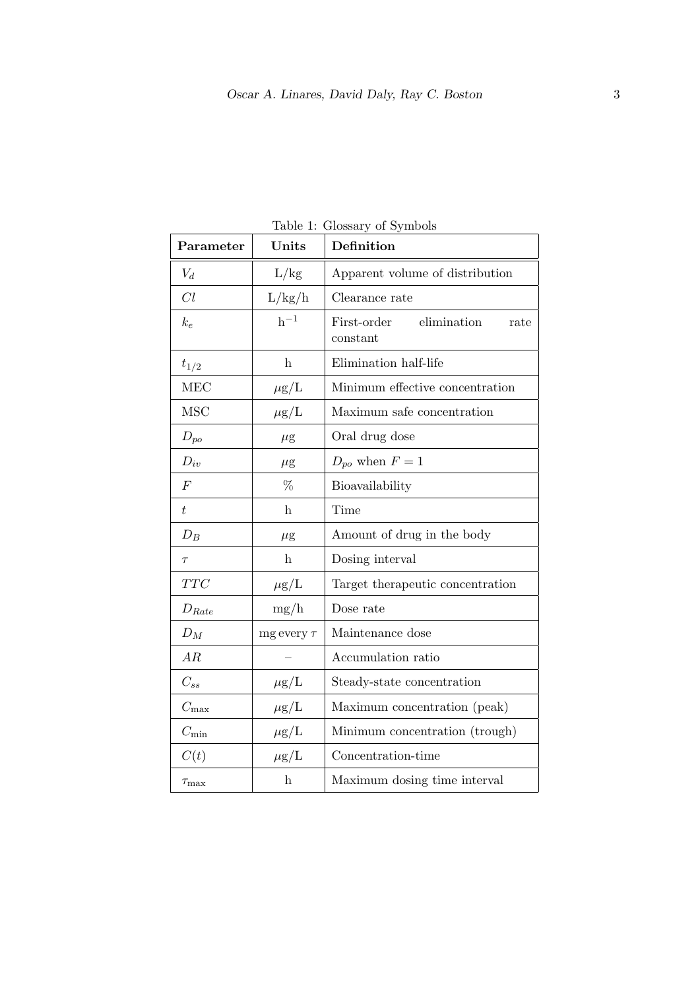| Parameter        | Units                     | Definition                                     |
|------------------|---------------------------|------------------------------------------------|
| $V_d$            | L/kg                      | Apparent volume of distribution                |
| Cl               | L/kg/h                    | Clearance rate                                 |
| $k_e$            | $h^{-1}$                  | elimination<br>First-order<br>rate<br>constant |
| $t_{1/2}$        | $\boldsymbol{\mathrm{h}}$ | Elimination half-life                          |
| <b>MEC</b>       | $\mu$ g/L                 | Minimum effective concentration                |
| <b>MSC</b>       | $\mu$ g/L                 | Maximum safe concentration                     |
| $D_{po}$         | $\mu$ g                   | Oral drug dose                                 |
| $D_{iv}$         | $\mu$ g                   | $D_{po}$ when $F=1$                            |
| $\overline{F}$   | %                         | Bioavailability                                |
| ŧ                | $\mathbf{h}$              | Time                                           |
| $D_B$            | $\mu$ g                   | Amount of drug in the body                     |
| $\tau$           | $\mathbf{h}$              | Dosing interval                                |
| $TTC$            | $\mu$ g/L                 | Target therapeutic concentration               |
| $D_{Rate}$       | mg/h                      | Dose rate                                      |
| $D_M$            | $mg$ every $\tau$         | Maintenance dose                               |
| AR               |                           | Accumulation ratio                             |
| $C_{ss}$         | $\mu$ g/L                 | Steady-state concentration                     |
| $C_{\text{max}}$ | $\mu$ g/L                 | Maximum concentration (peak)                   |
| $C_{\min}$       | $\mu$ g/L                 | Minimum concentration (trough)                 |
| C(t)             | $\mu$ g/L                 | Concentration-time                             |
| $\tau_{\rm max}$ | $\mathbf{h}$              | Maximum dosing time interval                   |

<span id="page-2-0"></span>Table 1: Glossary of Symbols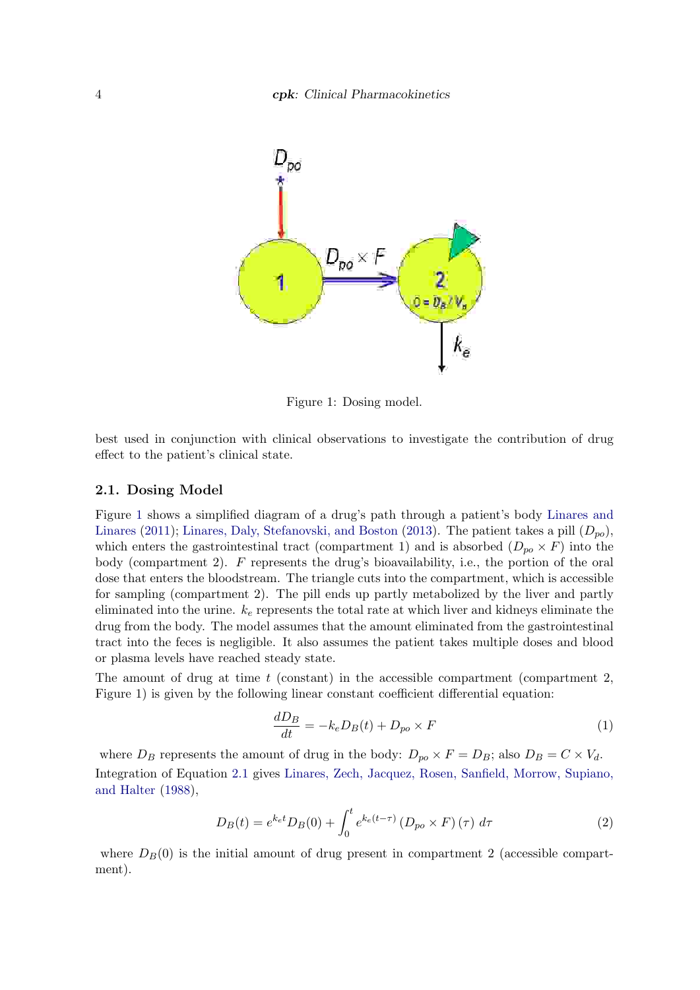

<span id="page-3-0"></span>Figure 1: Dosing model.

best used in conjunction with clinical observations to investigate the contribution of drug effect to the patient's clinical state.

### 2.1. Dosing Model

Figure [1](#page-3-0) shows a simplified diagram of a drug's path through a patient's body [Linares and](#page-17-3) [Linares](#page-17-3) [\(2011\)](#page-17-3); [Linares, Daly, Stefanovski, and Boston](#page-16-11) [\(2013\)](#page-16-11). The patient takes a pill  $(D_{po})$ , which enters the gastrointestinal tract (compartment 1) and is absorbed  $(D_{po} \times F)$  into the body (compartment 2). F represents the drug's bioavailability, i.e., the portion of the oral dose that enters the bloodstream. The triangle cuts into the compartment, which is accessible for sampling (compartment 2). The pill ends up partly metabolized by the liver and partly eliminated into the urine.  $k_e$  represents the total rate at which liver and kidneys eliminate the drug from the body. The model assumes that the amount eliminated from the gastrointestinal tract into the feces is negligible. It also assumes the patient takes multiple doses and blood or plasma levels have reached steady state.

The amount of drug at time  $t$  (constant) in the accessible compartment (compartment 2, Figure 1) is given by the following linear constant coefficient differential equation:

<span id="page-3-1"></span>
$$
\frac{dD_B}{dt} = -k_e D_B(t) + D_{po} \times F \tag{1}
$$

where  $D_B$  represents the amount of drug in the body:  $D_{po} \times F = D_B$ ; also  $D_B = C \times V_d$ . Integration of Equation [2.1](#page-3-1) gives [Linares, Zech, Jacquez, Rosen, Sanfield, Morrow, Supiano,](#page-17-13) [and Halter](#page-17-13) [\(1988\)](#page-17-13),

$$
D_B(t) = e^{k_e t} D_B(0) + \int_0^t e^{k_e(t-\tau)} (D_{po} \times F)(\tau) d\tau
$$
 (2)

where  $D_B(0)$  is the initial amount of drug present in compartment 2 (accessible compartment).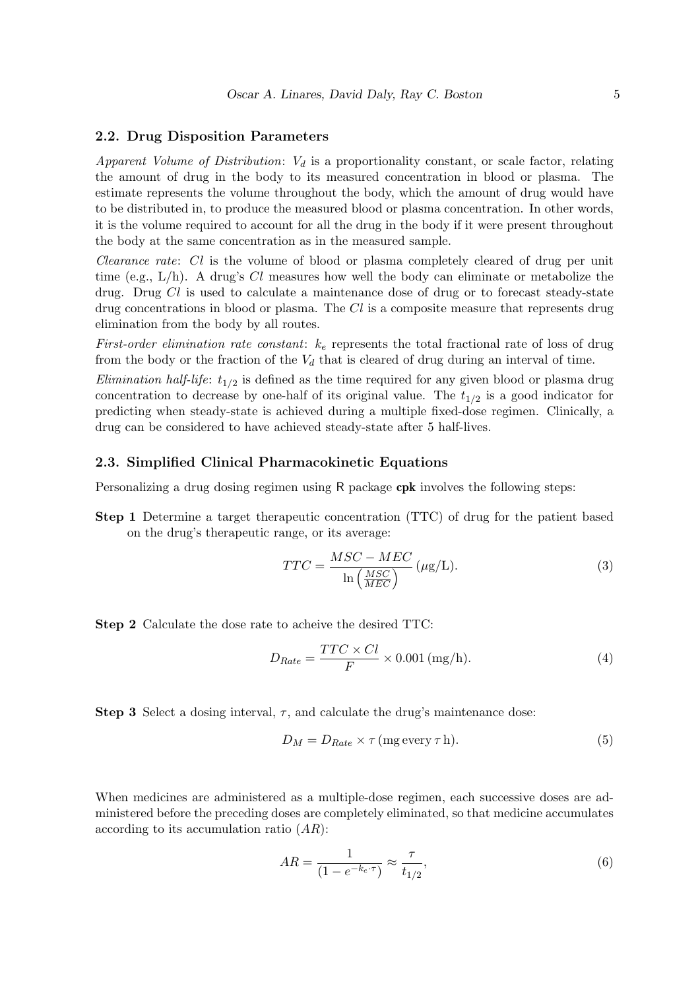### 2.2. Drug Disposition Parameters

Apparent Volume of Distribution:  $V_d$  is a proportionality constant, or scale factor, relating the amount of drug in the body to its measured concentration in blood or plasma. The estimate represents the volume throughout the body, which the amount of drug would have to be distributed in, to produce the measured blood or plasma concentration. In other words, it is the volume required to account for all the drug in the body if it were present throughout the body at the same concentration as in the measured sample.

Clearance rate: Cl is the volume of blood or plasma completely cleared of drug per unit time (e.g.,  $L/h$ ). A drug's Cl measures how well the body can eliminate or metabolize the drug. Drug Cl is used to calculate a maintenance dose of drug or to forecast steady-state drug concentrations in blood or plasma. The  $Cl$  is a composite measure that represents drug elimination from the body by all routes.

First-order elimination rate constant:  $k_e$  represents the total fractional rate of loss of drug from the body or the fraction of the  $V_d$  that is cleared of drug during an interval of time.

*Elimination half-life*:  $t_{1/2}$  is defined as the time required for any given blood or plasma drug concentration to decrease by one-half of its original value. The  $t_{1/2}$  is a good indicator for predicting when steady-state is achieved during a multiple fixed-dose regimen. Clinically, a drug can be considered to have achieved steady-state after 5 half-lives.

### 2.3. Simplified Clinical Pharmacokinetic Equations

Personalizing a drug dosing regimen using R package cpk involves the following steps:

Step 1 Determine a target therapeutic concentration (TTC) of drug for the patient based on the drug's therapeutic range, or its average:

$$
TTC = \frac{MSC - MEC}{\ln\left(\frac{MSC}{MEC}\right)} \left(\mu g/L\right). \tag{3}
$$

Step 2 Calculate the dose rate to acheive the desired TTC:

$$
D_{Rate} = \frac{TTC \times Cl}{F} \times 0.001 \, (\text{mg/h}).\tag{4}
$$

Step 3 Select a dosing interval,  $\tau$ , and calculate the drug's maintenance dose:

$$
D_M = D_{Rate} \times \tau \, (\text{mg every } \tau \, \text{h}). \tag{5}
$$

When medicines are administered as a multiple-dose regimen, each successive doses are administered before the preceding doses are completely eliminated, so that medicine accumulates according to its accumulation ratio  $(AR)$ :

$$
AR = \frac{1}{(1 - e^{-k_e \cdot \tau})} \approx \frac{\tau}{t_{1/2}},\tag{6}
$$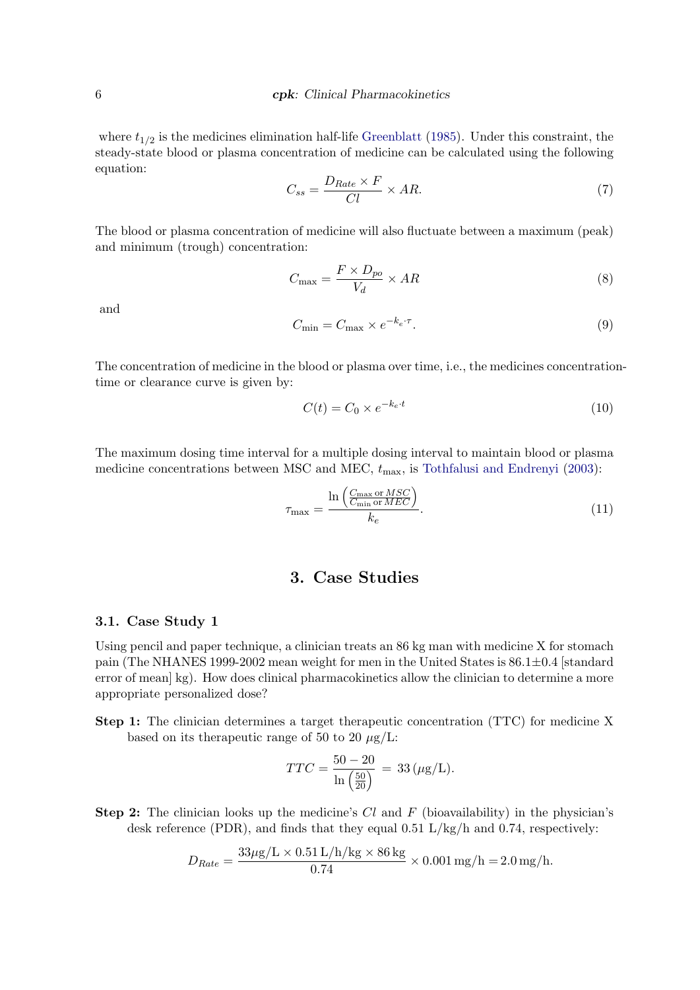where  $t_{1/2}$  is the medicines elimination half-life [Greenblatt](#page-16-12) [\(1985\)](#page-16-12). Under this constraint, the steady-state blood or plasma concentration of medicine can be calculated using the following equation:

$$
C_{ss} = \frac{D_{Rate} \times F}{Cl} \times AR.
$$
\n(7)

The blood or plasma concentration of medicine will also fluctuate between a maximum (peak) and minimum (trough) concentration:

$$
C_{\text{max}} = \frac{F \times D_{po}}{V_d} \times AR \tag{8}
$$

and

$$
C_{\min} = C_{\max} \times e^{-k_e \cdot \tau}.
$$
\n(9)

The concentration of medicine in the blood or plasma over time, i.e., the medicines concentrationtime or clearance curve is given by:

$$
C(t) = C_0 \times e^{-k_e \cdot t} \tag{10}
$$

The maximum dosing time interval for a multiple dosing interval to maintain blood or plasma medicine concentrations between MSC and MEC,  $t_{\text{max}}$ , is [Tothfalusi and Endrenyi](#page-17-14) [\(2003\)](#page-17-14):

$$
\tau_{\max} = \frac{\ln\left(\frac{C_{\max} \text{ or } MSC}{C_{\min} \text{ or } MEC}\right)}{k_e}.
$$
\n(11)

# 3. Case Studies

### 3.1. Case Study 1

Using pencil and paper technique, a clinician treats an 86 kg man with medicine X for stomach pain (The NHANES 1999-2002 mean weight for men in the United States is  $86.1 \pm 0.4$  [standard error of mean] kg). How does clinical pharmacokinetics allow the clinician to determine a more appropriate personalized dose?

Step 1: The clinician determines a target therapeutic concentration (TTC) for medicine X based on its therapeutic range of 50 to 20  $\mu$ g/L:

$$
TTC = \frac{50 - 20}{\ln\left(\frac{50}{20}\right)} = 33 \, (\mu \text{g/L}).
$$

**Step 2:** The clinician looks up the medicine's  $Cl$  and  $F$  (bioavailability) in the physician's desk reference (PDR), and finds that they equal 0.51 L/kg/h and 0.74, respectively:

$$
D_{Rate} = \frac{33\mu\text{g/L} \times 0.51 \text{ L/h/kg} \times 86 \text{ kg}}{0.74} \times 0.001 \text{ mg/h} = 2.0 \text{ mg/h}.
$$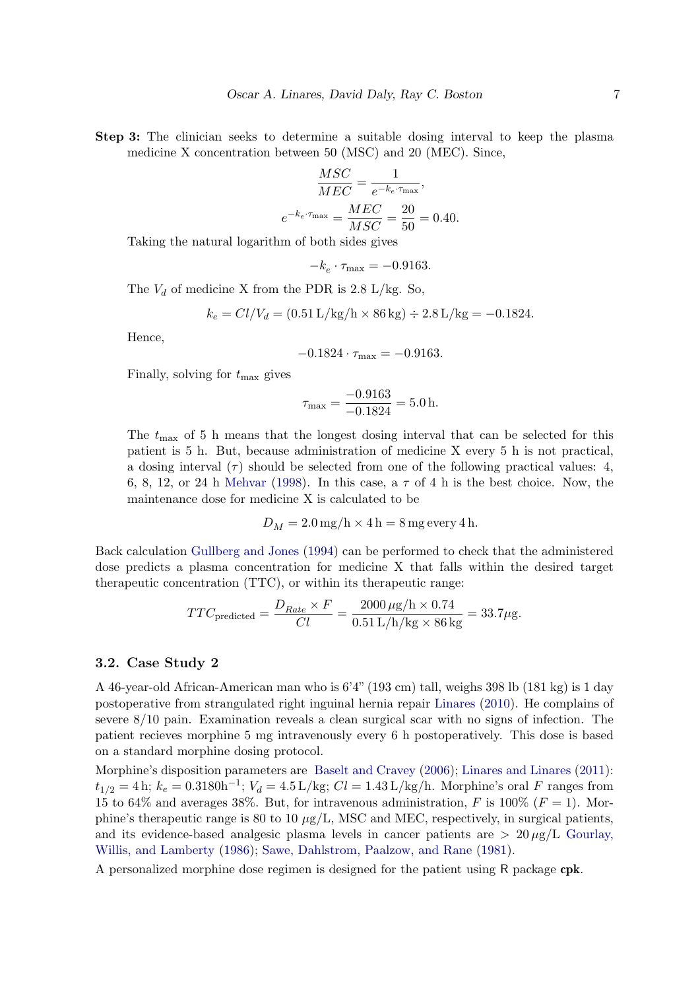Step 3: The clinician seeks to determine a suitable dosing interval to keep the plasma medicine X concentration between 50 (MSC) and 20 (MEC). Since,

$$
\frac{MSC}{MEC} = \frac{1}{e^{-k_e \cdot \tau_{\text{max}}}},
$$

$$
e^{-k_e \cdot \tau_{\text{max}}} = \frac{MEC}{MSC} = \frac{20}{50} = 0.40.
$$

Taking the natural logarithm of both sides gives

 $-k_e \cdot \tau_{\text{max}} = -0.9163.$ 

The  $V_d$  of medicine X from the PDR is 2.8 L/kg. So,

$$
k_e = Cl/V_d = (0.51 \text{ L/kg/h} \times 86 \text{ kg}) \div 2.8 \text{ L/kg} = -0.1824.
$$

Hence,

$$
-0.1824 \cdot \tau_{\text{max}} = -0.9163.
$$

Finally, solving for  $t_{\text{max}}$  gives

$$
\tau_{\text{max}} = \frac{-0.9163}{-0.1824} = 5.0 \,\text{h}.
$$

The  $t_{\text{max}}$  of 5 h means that the longest dosing interval that can be selected for this patient is 5 h. But, because administration of medicine X every 5 h is not practical, a dosing interval  $(\tau)$  should be selected from one of the following practical values: 4, 6, 8, 12, or 24 h [Mehvar](#page-17-15) [\(1998\)](#page-17-15). In this case, a  $\tau$  of 4 h is the best choice. Now, the maintenance dose for medicine X is calculated to be

$$
D_M = 2.0 \,\mathrm{mg/h} \times 4 \,\mathrm{h} = 8 \,\mathrm{mg} \,\mathrm{every} \, 4 \,\mathrm{h}.
$$

Back calculation [Gullberg and Jones](#page-16-13) [\(1994\)](#page-16-13) can be performed to check that the administered dose predicts a plasma concentration for medicine X that falls within the desired target therapeutic concentration (TTC), or within its therapeutic range:

$$
TTC_{\text{predicted}} = \frac{D_{Rate} \times F}{Cl} = \frac{2000 \,\mu\text{g/h} \times 0.74}{0.51 \,\text{L/h/kg} \times 86 \,\text{kg}} = 33.7 \mu\text{g}.
$$

### 3.2. Case Study 2

A 46-year-old African-American man who is 6'4" (193 cm) tall, weighs 398 lb (181 kg) is 1 day postoperative from strangulated right inguinal hernia repair [Linares](#page-16-14) [\(2010\)](#page-16-14). He complains of severe 8/10 pain. Examination reveals a clean surgical scar with no signs of infection. The patient recieves morphine 5 mg intravenously every 6 h postoperatively. This dose is based on a standard morphine dosing protocol.

Morphine's disposition parameters are [Baselt and Cravey](#page-15-2) [\(2006\)](#page-15-2); [Linares and Linares](#page-17-3) [\(2011\)](#page-17-3):  $t_{1/2} = 4$  h;  $k_e = 0.3180$ h<sup>-1</sup>;  $V_d = 4.5$  L/kg;  $Cl = 1.43$  L/kg/h. Morphine's oral F ranges from 15 to 64% and averages 38%. But, for intravenous administration, F is 100% ( $F = 1$ ). Morphine's therapeutic range is 80 to 10  $\mu$ g/L, MSC and MEC, respectively, in surgical patients, and its evidence-based analgesic plasma levels in cancer patients are  $> 20 \mu g/L$  [Gourlay,](#page-16-15) [Willis, and Lamberty](#page-16-15) [\(1986\)](#page-16-15); [Sawe, Dahlstrom, Paalzow, and Rane](#page-17-16) [\(1981\)](#page-17-16).

A personalized morphine dose regimen is designed for the patient using R package cpk.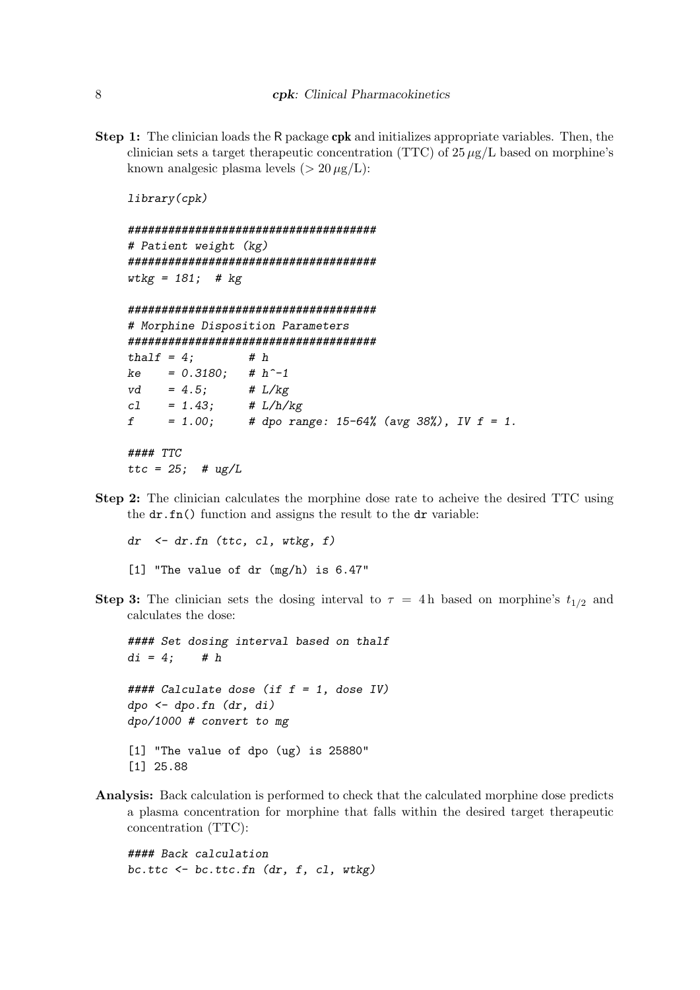Step 1: The clinician loads the R package cpk and initializes appropriate variables. Then, the clinician sets a target therapeutic concentration (TTC) of  $25 \mu g/L$  based on morphine's known analgesic plasma levels ( $> 20 \mu g/L$ ):

library(cpk)

```
#####################################
# Patient weight (kg)
#####################################
wtkg = 181; # kg#####################################
# Morphine Disposition Parameters
#####################################
thalf = 4; # h
ke = 0.3180; # h^{\sim}-1vd = 4.5; # L/kgcl = 1.43; \# L/h/kgf = 1.00; # dpo range: 15-64% (avg 38%), IV f = 1.
#### TTC
ttc = 25; # ug/L
```
Step 2: The clinician calculates the morphine dose rate to acheive the desired TTC using the  $dr.fn()$  function and assigns the result to the dr variable:

 $dr$  <-  $dr$ .  $fn$  (ttc,  $cl$ , wtkg,  $f$ ) [1] "The value of dr (mg/h) is 6.47"

**Step 3:** The clinician sets the dosing interval to  $\tau = 4 h$  based on morphine's  $t_{1/2}$  and calculates the dose:

#### Set dosing interval based on thalf  $di = 4;$  # h  $\# \# \#$  Calculate dose (if  $f = 1$ , dose IV) dpo <- dpo.fn (dr, di) dpo/1000 # convert to mg [1] "The value of dpo (ug) is 25880" [1] 25.88

Analysis: Back calculation is performed to check that the calculated morphine dose predicts a plasma concentration for morphine that falls within the desired target therapeutic concentration (TTC):

#### Back calculation  $bc.ttc \leftarrow bc.ttc.fn (dr, f, cl, wtkg)$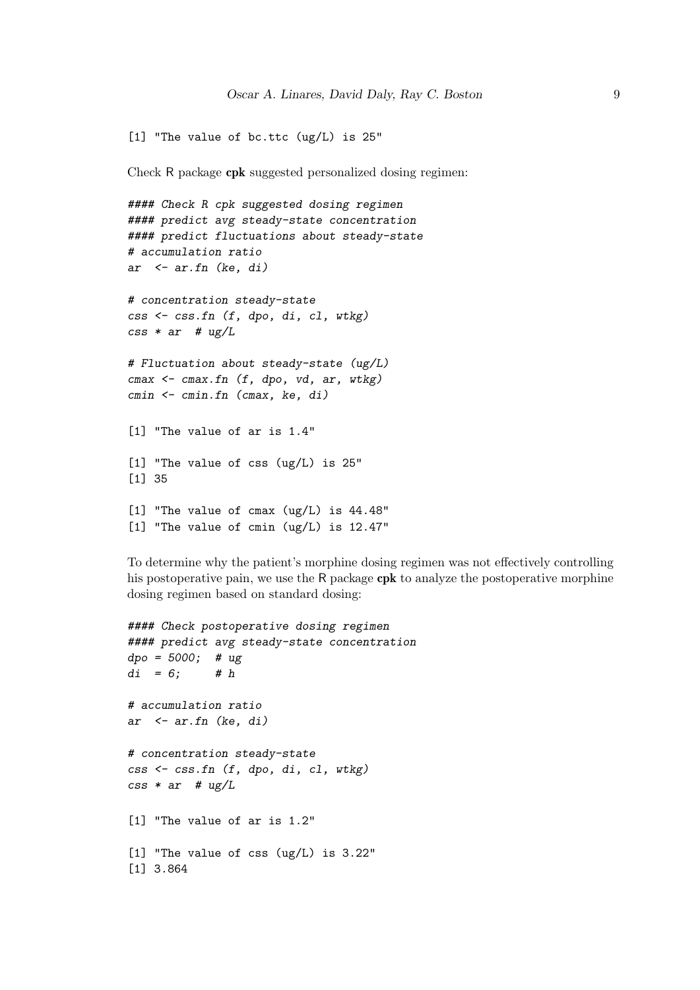```
[1] "The value of bc.ttc (ug/L) is 25"
```
Check R package cpk suggested personalized dosing regimen:

```
#### Check R cpk suggested dosing regimen
#### predict avg steady-state concentration
#### predict fluctuations about steady-state
# accumulation ratio
ar \leq ar.fn (ke, di)
# concentration steady-state
\text{css} <- \text{css_fn} (f, dpo, di, cl, wtkg)
\text{css} * ar # ug/L
# Fluctuation about steady-state (ug/L)
cmax \leq cmax.fn (f, dpo, vd, ar, wkg)cmin <- cmin.fn (cmax, ke, di)
[1] "The value of ar is 1.4"
[1] "The value of css (ug/L) is 25"
[1] 35
[1] "The value of cmax (ug/L) is 44.48"
[1] "The value of cmin (ug/L) is 12.47"
```
To determine why the patient's morphine dosing regimen was not effectively controlling his postoperative pain, we use the R package cpk to analyze the postoperative morphine dosing regimen based on standard dosing:

```
#### Check postoperative dosing regimen
#### predict avg steady-state concentration
dpo = 5000; # ugdi = 6; # h
# accumulation ratio
ar \leq ar.fn (ke, di)
# concentration steady-state
css <- css.fn (f, dpo, di, cl, wtkg)
\text{css} * ar # \text{ug/L}[1] "The value of ar is 1.2"
[1] "The value of css (ug/L) is 3.22"
[1] 3.864
```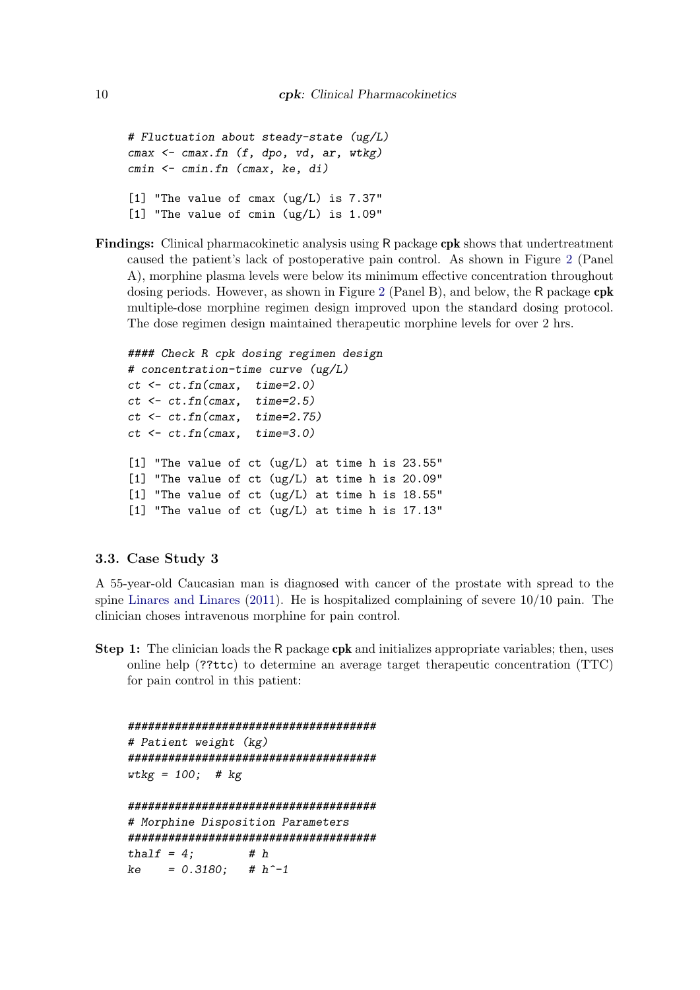```
# Fluctuation about steady-state (ug/L)
cmax \leq cmax.fn (f, dpo, vd, ar, wkg)cmin <- cmin.fn (cmax, ke, di)
[1] "The value of cmax (ug/L) is 7.37"
[1] "The value of cmin (ug/L) is 1.09"
```
Findings: Clinical pharmacokinetic analysis using R package cpk shows that undertreatment caused the patient's lack of postoperative pain control. As shown in Figure [2](#page-10-0) (Panel A), morphine plasma levels were below its minimum effective concentration throughout dosing periods. However, as shown in Figure [2](#page-10-0) (Panel B), and below, the R package cpk multiple-dose morphine regimen design improved upon the standard dosing protocol. The dose regimen design maintained therapeutic morphine levels for over 2 hrs.

```
#### Check R cpk dosing regimen design
# concentration-time curve (ug/L)
ct \leftarrow ct.fn(cmax, time=2.0)ct \leftarrow ct.fn(cmax, time=2.5)ct < -ct.fn/cmax, time=2.75)
ct \leftarrow ct.fn(cmax, time=3.0)[1] "The value of ct (ug/L) at time h is 23.55"
[1] "The value of ct (ug/L) at time h is 20.09"
[1] "The value of ct (ug/L) at time h is 18.55"
[1] "The value of ct (ug/L) at time h is 17.13"
```
### 3.3. Case Study 3

A 55-year-old Caucasian man is diagnosed with cancer of the prostate with spread to the spine [Linares and Linares](#page-17-3) [\(2011\)](#page-17-3). He is hospitalized complaining of severe 10/10 pain. The clinician choses intravenous morphine for pain control.

Step 1: The clinician loads the R package cpk and initializes appropriate variables; then, uses online help (??ttc) to determine an average target therapeutic concentration (TTC) for pain control in this patient:

```
#####################################
# Patient weight (kg)
#####################################
wtkg = 100; # kg#####################################
# Morphine Disposition Parameters
#####################################
thalf = 4; # h
ke = 0.3180; # h^{\sim}-1
```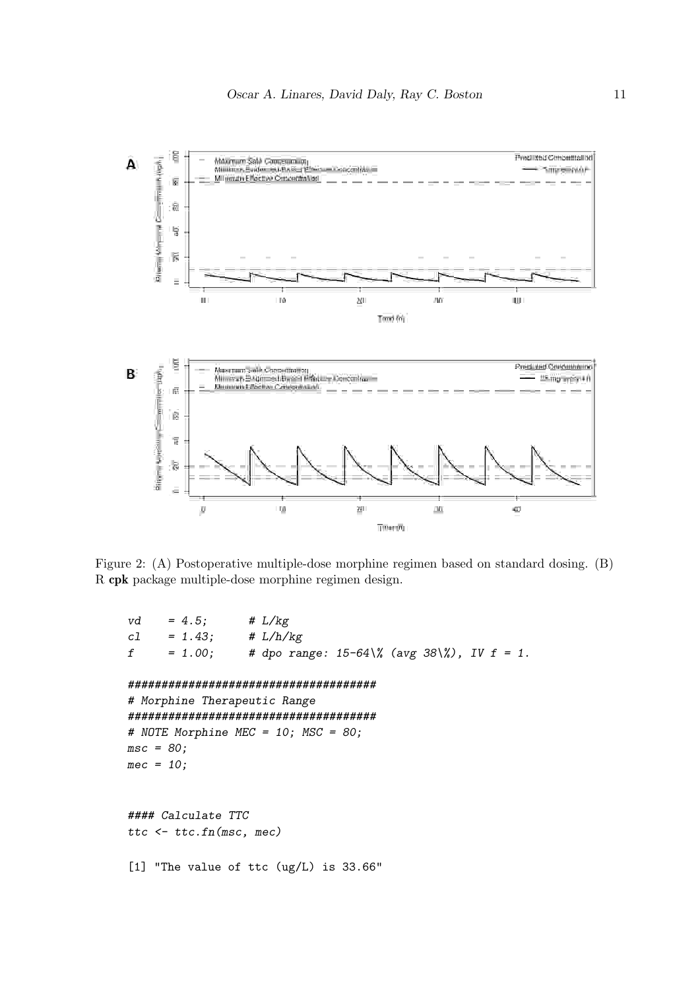

<span id="page-10-0"></span>Figure 2: (A) Postoperative multiple-dose morphine regimen based on standard dosing. (B) R cpk package multiple-dose morphine regimen design.

```
vd = 4.5; # L/kgcl = 1.43; \# L/h/kgf = 1.00; # dpo range: 15-64\% (avg 38\%), IV f = 1.
#####################################
# Morphine Therapeutic Range
#####################################
# NOTE Morphine MEC = 10; MSC = 80;
msc = 80;mec = 10;#### Calculate TTC
ttc <- ttc.fn(msc, mec)
[1] "The value of ttc (ug/L) is 33.66"
```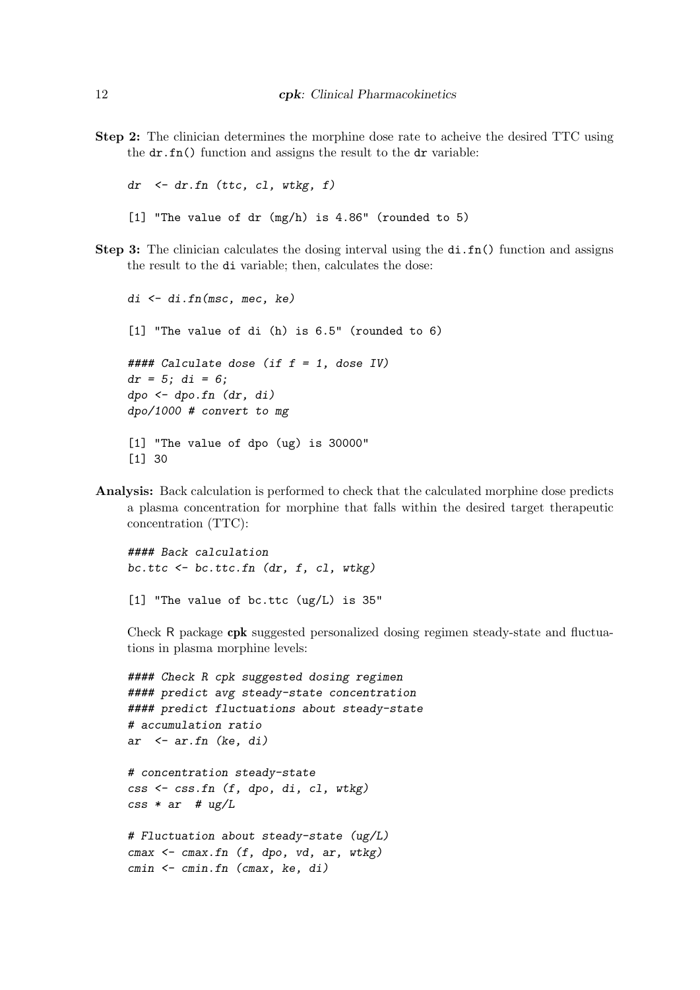Step 2: The clinician determines the morphine dose rate to acheive the desired TTC using the dr.fn() function and assigns the result to the dr variable:

 $dr$  <-  $dr$ .  $fn$  (ttc,  $cl$ , wtkg,  $f$ ) [1] "The value of dr  $(mg/h)$  is 4.86" (rounded to 5)

Step 3: The clinician calculates the dosing interval using the di.fn() function and assigns the result to the di variable; then, calculates the dose:

```
di <- di.fn(msc, mec, ke)
[1] "The value of di (h) is 6.5" (rounded to 6)
\# \# \# Calculate dose (if f = 1, dose IV)
dr = 5; di = 6;
dpo \leftarrow dpo.fn (dr, di)dpo/1000 # convert to mg
[1] "The value of dpo (ug) is 30000"
[1] 30
```
Analysis: Back calculation is performed to check that the calculated morphine dose predicts a plasma concentration for morphine that falls within the desired target therapeutic concentration (TTC):

#### Back calculation bc.ttc <- bc.ttc.fn (dr, f, cl, wtkg)

[1] "The value of bc.ttc (ug/L) is 35"

Check R package cpk suggested personalized dosing regimen steady-state and fluctua-

tions in plasma morphine levels:

```
#### Check R cpk suggested dosing regimen
#### predict avg steady-state concentration
#### predict fluctuations about steady-state
# accumulation ratio
ar \leftarrow ar.fn (ke, di)
# concentration steady-state
css <- css.fn (f, dpo, di, cl, wtkg)
\text{css} * ar # ug/L
# Fluctuation about steady-state (ug/L)
cmax \leftarrow cmax.fn (f, dpo, vd, ar, wkg)cmin <- cmin.fn (cmax, ke, di)
```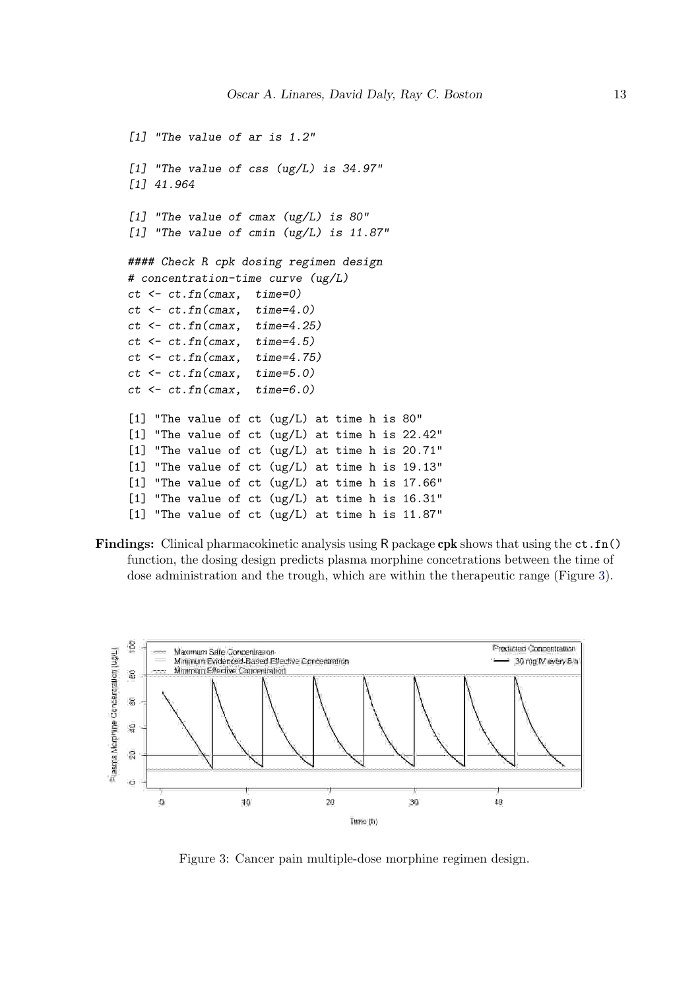```
[1] "The value of ar is 1.2"
[1] "The value of css (ug/L) is 34.97"
[1] 41.964
[1] "The value of cmax (ug/L) is 80"
[1] "The value of cmin (ug/L) is 11.87"
#### Check R cpk dosing regimen design
# concentration-time curve (ug/L)
ct \leftarrow ct.fn(cmax, time=0)ct \leftarrow ct.fn(cmax, time=4.0)ct \leftarrow ct.fn(cmax, time=4.25)ct \leftarrow ct.fn(cmax, time=4.5)ct \leftarrow ct.fn(cmax, time=4.75)ct \leftarrow ct.fn(cmax, time=5.0)ct \leftarrow ct.fn(cmax, time=6.0)[1] "The value of ct (ug/L) at time h is 80"
[1] "The value of ct (ug/L) at time h is 22.42"
[1] "The value of ct (ug/L) at time h is 20.71"
[1] "The value of ct (ug/L) at time h is 19.13"
[1] "The value of ct (ug/L) at time h is 17.66"
[1] "The value of ct (ug/L) at time h is 16.31"
[1] "The value of ct (ug/L) at time h is 11.87"
```
Findings: Clinical pharmacokinetic analysis using R package cpk shows that using the  $ct.fn()$ function, the dosing design predicts plasma morphine concetrations between the time of dose administration and the trough, which are within the therapeutic range (Figure [3\)](#page-12-0).



<span id="page-12-0"></span>Figure 3: Cancer pain multiple-dose morphine regimen design.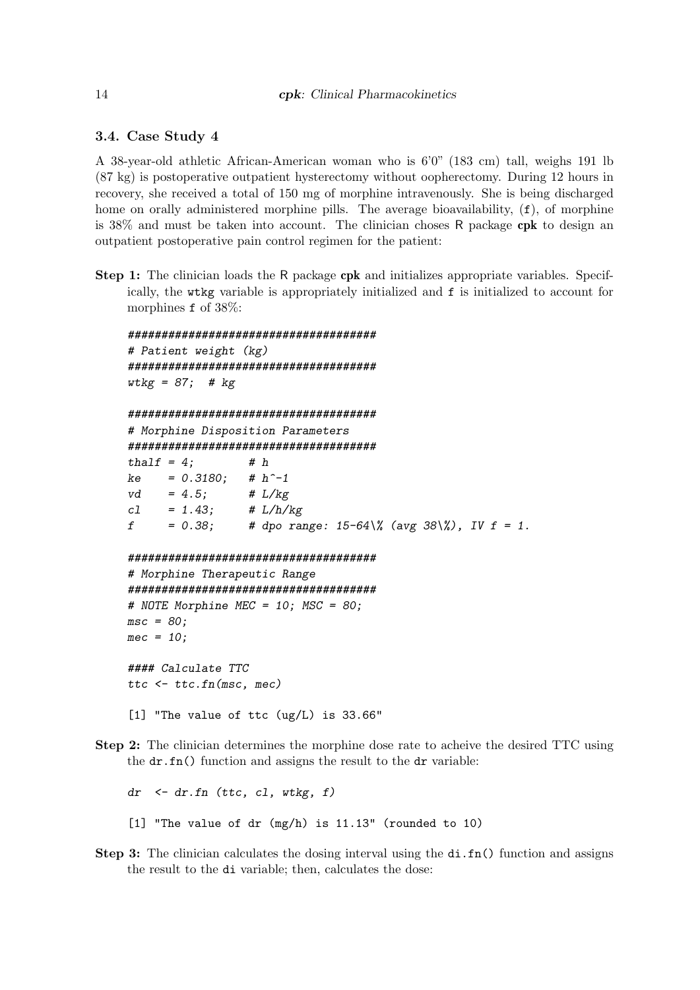3.4. Case Study 4

A 38-year-old athletic African-American woman who is 6'0" (183 cm) tall, weighs 191 lb (87 kg) is postoperative outpatient hysterectomy without oopherectomy. During 12 hours in recovery, she received a total of 150 mg of morphine intravenously. She is being discharged home on orally administered morphine pills. The average bioavailability,  $(f)$ , of morphine is 38% and must be taken into account. The clinician choses R package cpk to design an outpatient postoperative pain control regimen for the patient:

Step 1: The clinician loads the R package cpk and initializes appropriate variables. Specifically, the wtkg variable is appropriately initialized and f is initialized to account for morphines f of 38%:

```
#####################################
# Patient weight (kg)
#####################################
wtkg = 87; # kg#####################################
# Morphine Disposition Parameters
#####################################
thalf = 4; # h
ke = 0.3180; # h^{\sim}-1vd = 4.5; # L/kgcl = 1.43; \# L/h/kgf = 0.38; # dpo range: 15-64\% (avg 38\%), IV f = 1.
#####################################
# Morphine Therapeutic Range
#####################################
# NOTE Morphine MEC = 10; MSC = 80;
msc = 80;
mec = 10;#### Calculate TTC
ttc <- ttc.fn(msc, mec)
[1] "The value of ttc (ug/L) is 33.66"
```
Step 2: The clinician determines the morphine dose rate to acheive the desired TTC using the  $dr.fn()$  function and assigns the result to the dr variable:

 $dr \leq dr$ .fn (ttc, cl, wtkg, f) [1] "The value of dr (mg/h) is 11.13" (rounded to 10)

Step 3: The clinician calculates the dosing interval using the di.fn() function and assigns the result to the di variable; then, calculates the dose: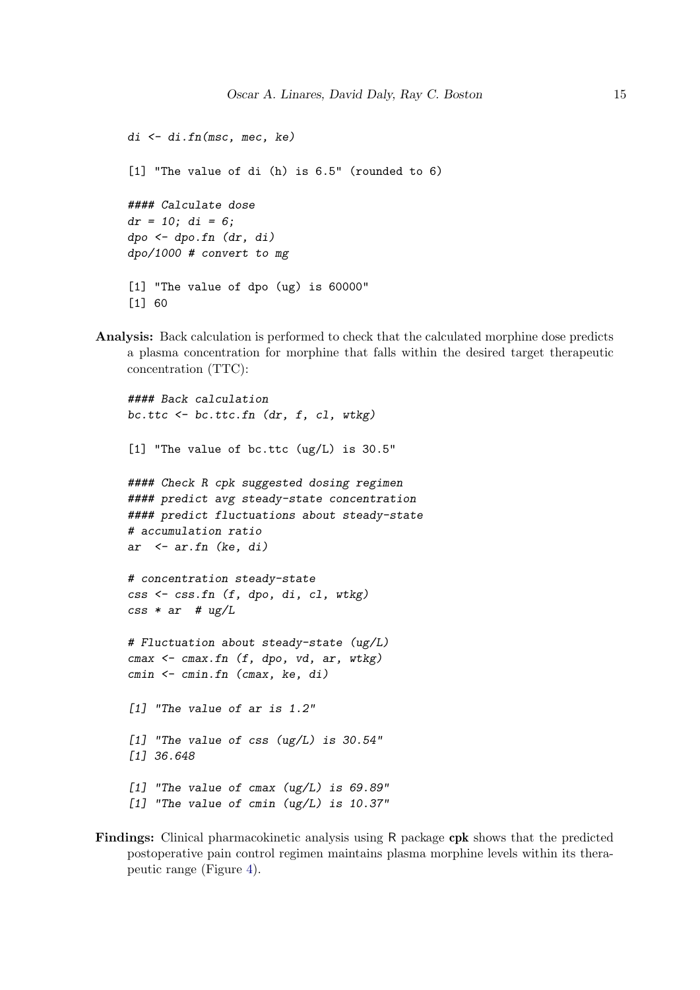```
di \leftarrow di.fn(msc, mec, ke)[1] "The value of di (h) is 6.5" (rounded to 6)
#### Calculate dose
dr = 10; di = 6;
dpo \leftarrow dpo.fn (dr, di)dpo/1000 # convert to mg
[1] "The value of dpo (ug) is 60000"
[1] 60
```
Analysis: Back calculation is performed to check that the calculated morphine dose predicts a plasma concentration for morphine that falls within the desired target therapeutic concentration (TTC):

```
#### Back calculation
bc.ttc \leq bc.ttc.fn (dr, f, c], wtkg)
[1] "The value of bc.ttc (ug/L) is 30.5"
#### Check R cpk suggested dosing regimen
#### predict avg steady-state concentration
#### predict fluctuations about steady-state
# accumulation ratio
ar \leq ar.fn (ke, di)
# concentration steady-state
css <- css.fn (f, dpo, di, cl, wtkg)
\text{css} * ar # ug/L
# Fluctuation about steady-state (ug/L)
cmax \leq cmax.fn (f, dpo, vd, ar, wtkg)
cmin <- cmin.fn (cmax, ke, di)
[1] "The value of ar is 1.2"
[1] "The value of css (ug/L) is 30.54"
[1] 36.648
[1] "The value of cmax (ug/L) is 69.89"
[1] "The value of cmin (ug/L) is 10.37"
```
Findings: Clinical pharmacokinetic analysis using R package cpk shows that the predicted postoperative pain control regimen maintains plasma morphine levels within its therapeutic range (Figure [4\)](#page-15-3).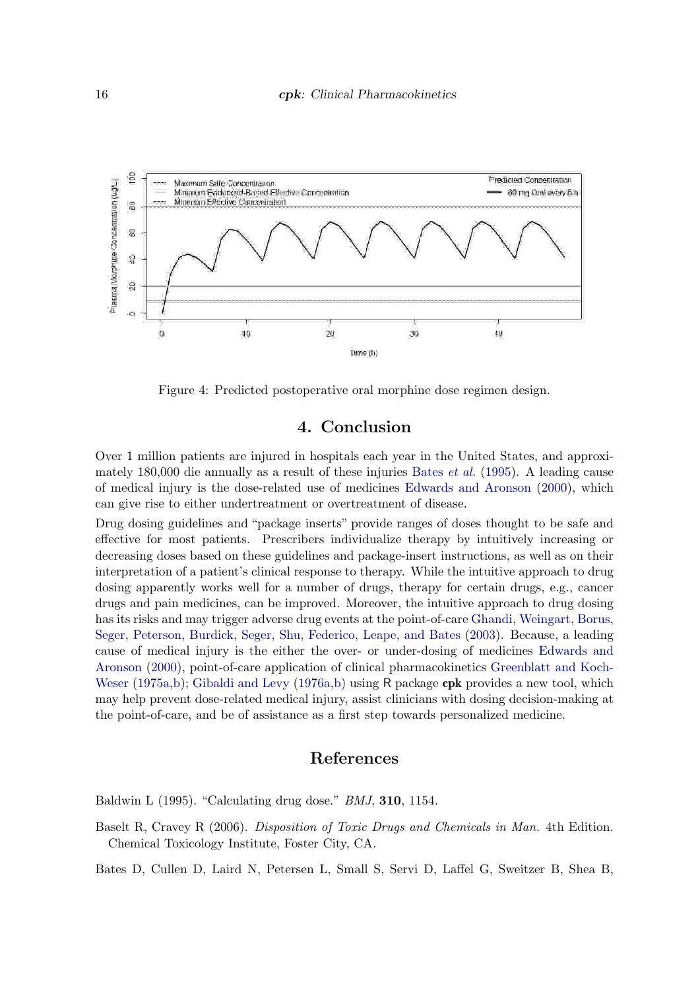

<span id="page-15-3"></span>Figure 4: Predicted postoperative oral morphine dose regimen design.

# 4. Conclusion

Over 1 million patients are injured in hospitals each year in the United States, and approximately 180,000 die annually as a result of these injuries [Bates](#page-15-0) et al. [\(1995\)](#page-15-0). A leading cause of medical injury is the dose-related use of medicines [Edwards and Aronson](#page-16-4) [\(2000\)](#page-16-4), which can give rise to either undertreatment or overtreatment of disease.

Drug dosing guidelines and "package inserts" provide ranges of doses thought to be safe and effective for most patients. Prescribers individualize therapy by intuitively increasing or decreasing doses based on these guidelines and package-insert instructions, as well as on their interpretation of a patient's clinical response to therapy. While the intuitive approach to drug dosing apparently works well for a number of drugs, therapy for certain drugs, e.g., cancer drugs and pain medicines, can be improved. Moreover, the intuitive approach to drug dosing has its risks and may trigger adverse drug events at the point-of-care [Ghandi, Weingart, Borus,](#page-16-16) [Seger, Peterson, Burdick, Seger, Shu, Federico, Leape, and Bates](#page-16-16) [\(2003\)](#page-16-16). Because, a leading cause of medical injury is the either the over- or under-dosing of medicines [Edwards and](#page-16-4) [Aronson](#page-16-4) [\(2000\)](#page-16-4), point-of-care application of clinical pharmacokinetics [Greenblatt and Koch-](#page-16-5)[Weser](#page-16-5) [\(1975a](#page-16-5)[,b\)](#page-16-6); [Gibaldi and Levy](#page-16-7) [\(1976a,](#page-16-7)[b\)](#page-16-8) using R package cpk provides a new tool, which may help prevent dose-related medical injury, assist clinicians with dosing decision-making at the point-of-care, and be of assistance as a first step towards personalized medicine.

## References

<span id="page-15-1"></span>Baldwin L (1995). "Calculating drug dose." BMJ, 310, 1154.

<span id="page-15-2"></span>Baselt R, Cravey R (2006). Disposition of Toxic Drugs and Chemicals in Man. 4th Edition. Chemical Toxicology Institute, Foster City, CA.

<span id="page-15-0"></span>Bates D, Cullen D, Laird N, Petersen L, Small S, Servi D, Laffel G, Sweitzer B, Shea B,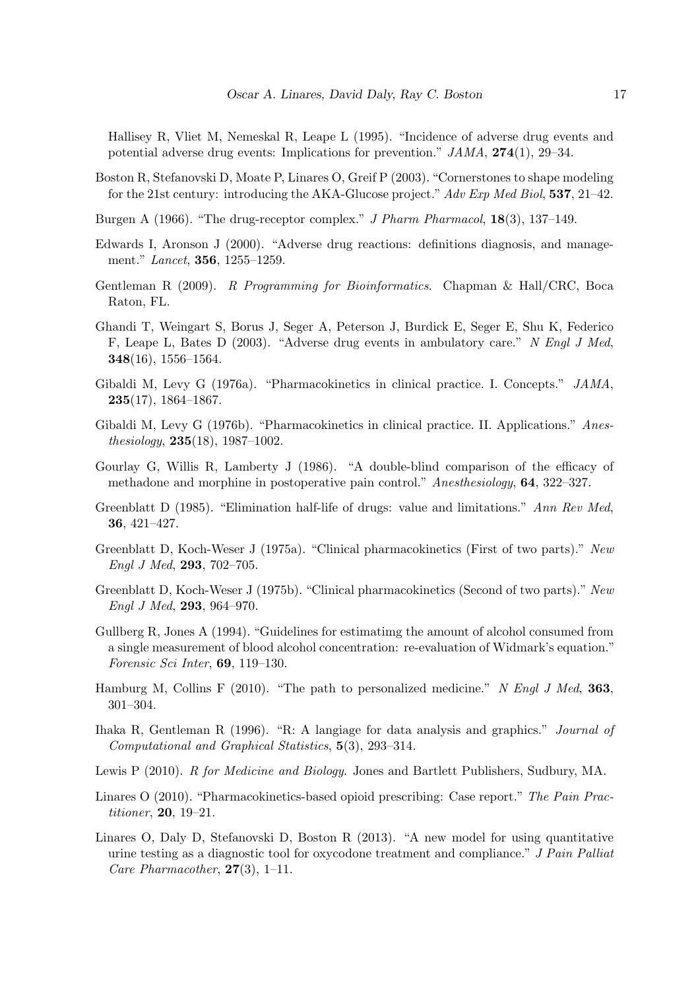Hallisey R, Vliet M, Nemeskal R, Leape L (1995). "Incidence of adverse drug events and potential adverse drug events: Implications for prevention." JAMA, 274(1), 29–34.

- <span id="page-16-9"></span>Boston R, Stefanovski D, Moate P, Linares O, Greif P (2003). "Cornerstones to shape modeling for the 21st century: introducing the AKA-Glucose project." Adv Exp Med Biol, 537, 21–42.
- <span id="page-16-10"></span>Burgen A (1966). "The drug-receptor complex." J Pharm Pharmacol, 18(3), 137–149.
- <span id="page-16-4"></span>Edwards I, Aronson J (2000). "Adverse drug reactions: definitions diagnosis, and management." Lancet, 356, 1255–1259.
- <span id="page-16-1"></span>Gentleman R (2009). R Programming for Bioinformatics. Chapman & Hall/CRC, Boca Raton, FL.
- <span id="page-16-16"></span>Ghandi T, Weingart S, Borus J, Seger A, Peterson J, Burdick E, Seger E, Shu K, Federico F, Leape L, Bates D (2003). "Adverse drug events in ambulatory care." N Engl J Med, 348(16), 1556–1564.
- <span id="page-16-7"></span>Gibaldi M, Levy G (1976a). "Pharmacokinetics in clinical practice. I. Concepts." JAMA,  $235(17), 1864-1867.$
- <span id="page-16-8"></span>Gibaldi M, Levy G (1976b). "Pharmacokinetics in clinical practice. II. Applications." Anesthesiology,  $235(18)$ ,  $1987-1002$ .
- <span id="page-16-15"></span>Gourlay G, Willis R, Lamberty J (1986). "A double-blind comparison of the efficacy of methadone and morphine in postoperative pain control." Anesthesiology, 64, 322–327.
- <span id="page-16-12"></span>Greenblatt D (1985). "Elimination half-life of drugs: value and limitations." Ann Rev Med, 36, 421–427.
- <span id="page-16-5"></span>Greenblatt D, Koch-Weser J (1975a). "Clinical pharmacokinetics (First of two parts)." New Engl J Med, 293, 702–705.
- <span id="page-16-6"></span>Greenblatt D, Koch-Weser J (1975b). "Clinical pharmacokinetics (Second of two parts)." New Engl J Med, 293, 964–970.
- <span id="page-16-13"></span>Gullberg R, Jones A (1994). "Guidelines for estimatimg the amount of alcohol consumed from a single measurement of blood alcohol concentration: re-evaluation of Widmark's equation." Forensic Sci Inter, 69, 119–130.
- <span id="page-16-3"></span>Hamburg M, Collins F (2010). "The path to personalized medicine." N Engl J Med, 363, 301–304.
- <span id="page-16-0"></span>Ihaka R, Gentleman R (1996). "R: A langiage for data analysis and graphics." Journal of Computational and Graphical Statistics, 5(3), 293–314.
- <span id="page-16-2"></span>Lewis P (2010). R for Medicine and Biology. Jones and Bartlett Publishers, Sudbury, MA.
- <span id="page-16-14"></span>Linares O (2010). "Pharmacokinetics-based opioid prescribing: Case report." The Pain Practitioner, 20, 19–21.
- <span id="page-16-11"></span>Linares O, Daly D, Stefanovski D, Boston R (2013). "A new model for using quantitative urine testing as a diagnostic tool for oxycodone treatment and compliance." J Pain Palliat Care Pharmacother,  $27(3)$ , 1–11.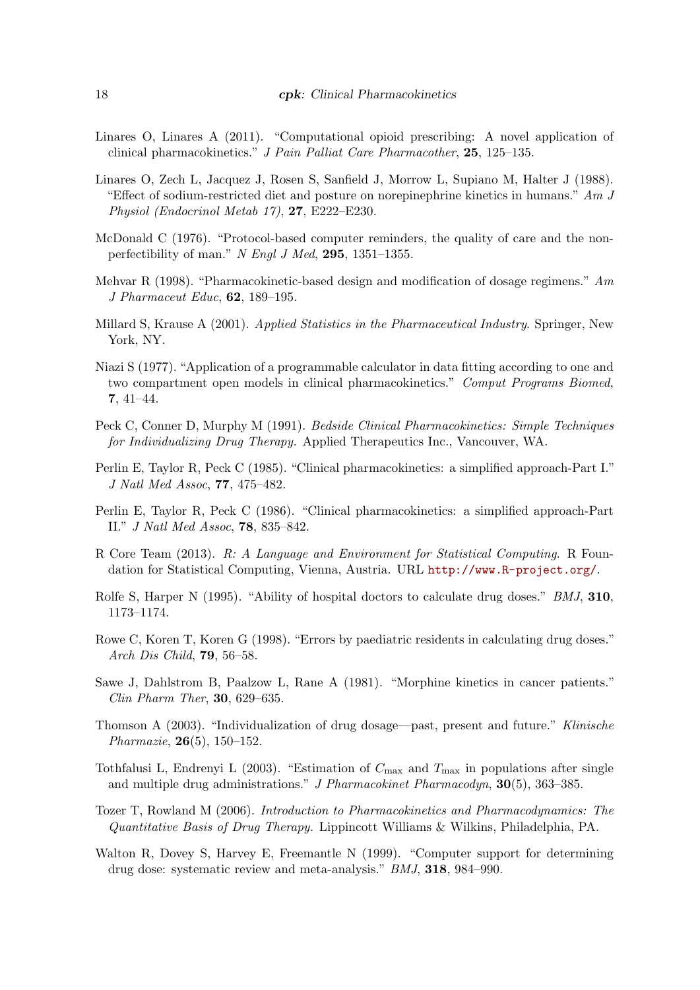- <span id="page-17-3"></span>Linares O, Linares A (2011). "Computational opioid prescribing: A novel application of clinical pharmacokinetics." J Pain Palliat Care Pharmacother, 25, 125–135.
- <span id="page-17-13"></span>Linares O, Zech L, Jacquez J, Rosen S, Sanfield J, Morrow L, Supiano M, Halter J (1988). "Effect of sodium-restricted diet and posture on norepinephrine kinetics in humans."  $Am J$ Physiol (Endocrinol Metab 17), 27, E222–E230.
- <span id="page-17-6"></span>McDonald C (1976). "Protocol-based computer reminders, the quality of care and the nonperfectibility of man."  $N$  Engl J Med, 295, 1351–1355.
- <span id="page-17-15"></span>Mehvar R (1998). "Pharmacokinetic-based design and modification of dosage regimens." Am J Pharmaceut Educ, 62, 189–195.
- <span id="page-17-1"></span>Millard S, Krause A (2001). Applied Statistics in the Pharmaceutical Industry. Springer, New York, NY.
- <span id="page-17-9"></span>Niazi S (1977). "Application of a programmable calculator in data fitting according to one and two compartment open models in clinical pharmacokinetics." Comput Programs Biomed, 7, 41–44.
- <span id="page-17-11"></span>Peck C, Conner D, Murphy M (1991). Bedside Clinical Pharmacokinetics: Simple Techniques for Individualizing Drug Therapy. Applied Therapeutics Inc., Vancouver, WA.
- <span id="page-17-7"></span>Perlin E, Taylor R, Peck C (1985). "Clinical pharmacokinetics: a simplified approach-Part I." J Natl Med Assoc, 77, 475–482.
- <span id="page-17-8"></span>Perlin E, Taylor R, Peck C (1986). "Clinical pharmacokinetics: a simplified approach-Part II." J Natl Med Assoc, 78, 835–842.
- <span id="page-17-0"></span>R Core Team (2013). R: A Language and Environment for Statistical Computing. R Foundation for Statistical Computing, Vienna, Austria. URL <http://www.R-project.org/>.
- <span id="page-17-4"></span>Rolfe S, Harper N (1995). "Ability of hospital doctors to calculate drug doses." *BMJ*, **310**, 1173–1174.
- <span id="page-17-5"></span>Rowe C, Koren T, Koren G (1998). "Errors by paediatric residents in calculating drug doses." Arch Dis Child, 79, 56–58.
- <span id="page-17-16"></span>Sawe J, Dahlstrom B, Paalzow L, Rane A (1981). "Morphine kinetics in cancer patients." Clin Pharm Ther, 30, 629–635.
- <span id="page-17-2"></span>Thomson A (2003). "Individualization of drug dosage—past, present and future." Klinische Pharmazie, 26(5), 150–152.
- <span id="page-17-14"></span>Tothfalusi L, Endrenyi L (2003). "Estimation of  $C_{\text{max}}$  and  $T_{\text{max}}$  in populations after single and multiple drug administrations." J Pharmacokinet Pharmacodyn, 30(5), 363–385.
- <span id="page-17-12"></span>Tozer T, Rowland M (2006). Introduction to Pharmacokinetics and Pharmacodynamics: The Quantitative Basis of Drug Therapy. Lippincott Williams & Wilkins, Philadelphia, PA.
- <span id="page-17-10"></span>Walton R, Dovey S, Harvey E, Freemantle N (1999). "Computer support for determining drug dose: systematic review and meta-analysis." BMJ, 318, 984–990.